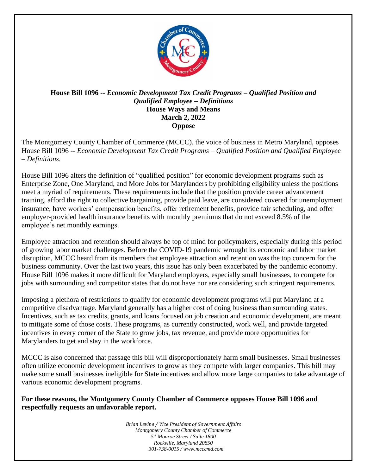

## **House Bill 1096 --** *Economic Development Tax Credit Programs – Qualified Position and Qualified Employee – Definitions* **House Ways and Means March 2, 2022 Oppose**

The Montgomery County Chamber of Commerce (MCCC), the voice of business in Metro Maryland, opposes House Bill 1096 -- *Economic Development Tax Credit Programs – Qualified Position and Qualified Employee – Definitions.*

House Bill 1096 alters the definition of "qualified position" for economic development programs such as Enterprise Zone, One Maryland, and More Jobs for Marylanders by prohibiting eligibility unless the positions meet a myriad of requirements. These requirements include that the position provide career advancement training, afford the right to collective bargaining, provide paid leave, are considered covered for unemployment insurance, have workers' compensation benefits, offer retirement benefits, provide fair scheduling, and offer employer-provided health insurance benefits with monthly premiums that do not exceed 8.5% of the employee's net monthly earnings.

Employee attraction and retention should always be top of mind for policymakers, especially during this period of growing labor market challenges. Before the COVID-19 pandemic wrought its economic and labor market disruption, MCCC heard from its members that employee attraction and retention was the top concern for the business community. Over the last two years, this issue has only been exacerbated by the pandemic economy. House Bill 1096 makes it more difficult for Maryland employers, especially small businesses, to compete for jobs with surrounding and competitor states that do not have nor are considering such stringent requirements.

Imposing a plethora of restrictions to qualify for economic development programs will put Maryland at a competitive disadvantage. Maryland generally has a higher cost of doing business than surrounding states. Incentives, such as tax credits, grants, and loans focused on job creation and economic development, are meant to mitigate some of those costs. These programs, as currently constructed, work well, and provide targeted incentives in every corner of the State to grow jobs, tax revenue, and provide more opportunities for Marylanders to get and stay in the workforce.

MCCC is also concerned that passage this bill will disproportionately harm small businesses. Small businesses often utilize economic development incentives to grow as they compete with larger companies. This bill may make some small businesses ineligible for State incentives and allow more large companies to take advantage of various economic development programs.

**For these reasons, the Montgomery County Chamber of Commerce opposes House Bill 1096 and respectfully requests an unfavorable report.**

> *Brian Levine / Vice President of Government Affairs Montgomery County Chamber of Commerce 51 Monroe Street / Suite 1800 Rockville, Maryland 20850 301-738-0015 / www.mcccmd.com*